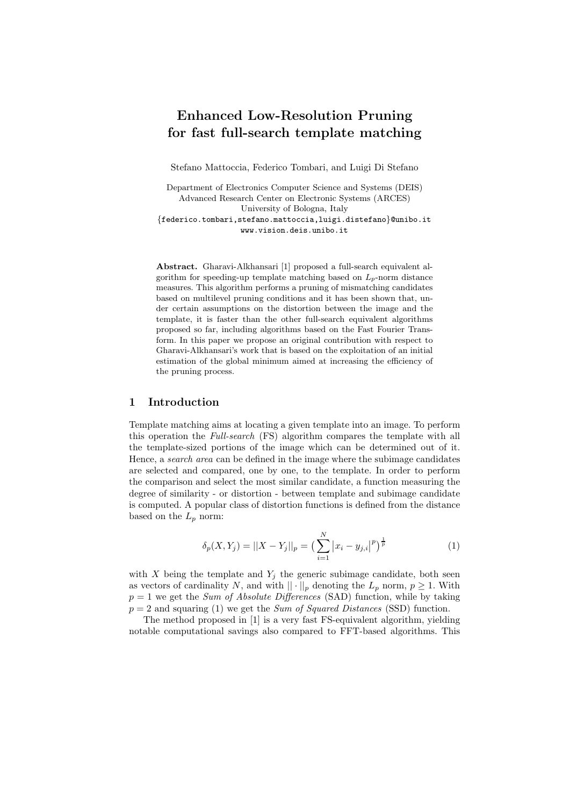# **Enhanced Low-Resolution Pruning for fast full-search template matching**

Stefano Mattoccia, Federico Tombari, and Luigi Di Stefano

Department of Electronics Computer Science and Systems (DEIS) Advanced Research Center on Electronic Systems (ARCES) University of Bologna, Italy {federico.tombari,stefano.mattoccia,luigi.distefano}@unibo.it www.vision.deis.unibo.it

**Abstract.** Gharavi-Alkhansari [1] proposed a full-search equivalent algorithm for speeding-up template matching based on  $L_p$ -norm distance measures. This algorithm performs a pruning of mismatching candidates based on multilevel pruning conditions and it has been shown that, under certain assumptions on the distortion between the image and the template, it is faster than the other full-search equivalent algorithms proposed so far, including algorithms based on the Fast Fourier Transform. In this paper we propose an original contribution with respect to Gharavi-Alkhansari's work that is based on the exploitation of an initial estimation of the global minimum aimed at increasing the efficiency of the pruning process.

### **1 Introduction**

Template matching aims at locating a given template into an image. To perform this operation the *Full-search* (FS) algorithm compares the template with all the template-sized portions of the image which can be determined out of it. Hence, a *search area* can be defined in the image where the subimage candidates are selected and compared, one by one, to the template. In order to perform the comparison and select the most similar candidate, a function measuring the degree of similarity - or distortion - between template and subimage candidate is computed. A popular class of distortion functions is defined from the distance based on the  $L_p$  norm:

$$
\delta_p(X, Y_j) = ||X - Y_j||_p = \left(\sum_{i=1}^N |x_i - y_{j,i}|^p\right)^{\frac{1}{p}}
$$
\n(1)

with  $X$  being the template and  $Y_j$  the generic subimage candidate, both seen as vectors of cardinality N, and with  $|| \cdot ||_p$  denoting the  $L_p$  norm,  $p \geq 1$ . With  $p = 1$  we get the *Sum of Absolute Differences* (SAD) function, while by taking  $p = 2$  and squaring (1) we get the *Sum of Squared Distances* (SSD) function.

The method proposed in [1] is a very fast FS-equivalent algorithm, yielding notable computational savings also compared to FFT-based algorithms. This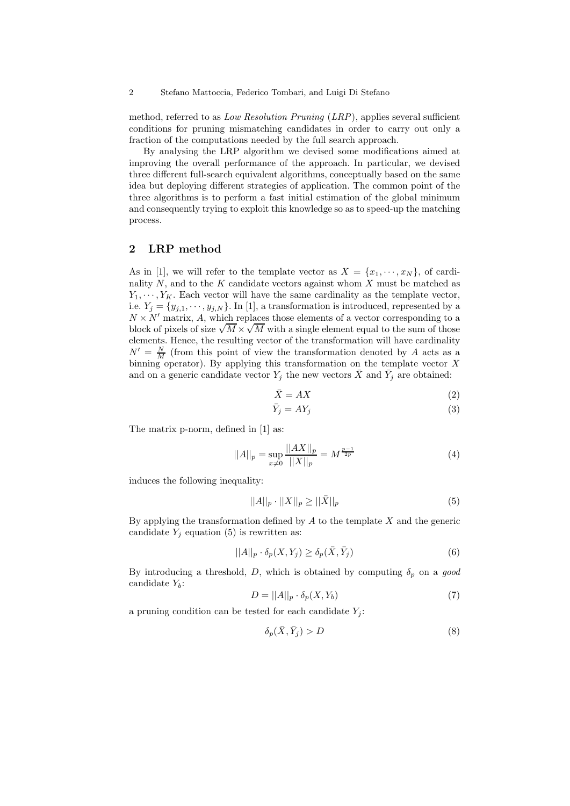2 Stefano Mattoccia, Federico Tombari, and Luigi Di Stefano

method, referred to as *Low Resolution Pruning* (*LRP*), applies several sufficient conditions for pruning mismatching candidates in order to carry out only a fraction of the computations needed by the full search approach.

By analysing the LRP algorithm we devised some modifications aimed at improving the overall performance of the approach. In particular, we devised three different full-search equivalent algorithms, conceptually based on the same idea but deploying different strategies of application. The common point of the three algorithms is to perform a fast initial estimation of the global minimum and consequently trying to exploit this knowledge so as to speed-up the matching process.

# **2 LRP method**

As in [1], we will refer to the template vector as  $X = \{x_1, \dots, x_N\}$ , of cardinality  $N$ , and to the  $K$  candidate vectors against whom  $X$  must be matched as  $Y_1, \dots, Y_K$ . Each vector will have the same cardinality as the template vector, i.e.  $Y_j = \{y_{j,1}, \dots, y_{j,N}\}\.$  In [1], a transformation is introduced, represented by a  $N \times N'$  matrix, A, which replaces those elements of a vector corresponding to a  $W \times W$  matrix, A, which replaces those elements of a vector corresponding to a block of pixels of size  $\sqrt{M} \times \sqrt{M}$  with a single element equal to the sum of those elements. Hence, the resulting vector of the transformation will have cardinality  $N' = \frac{N}{M}$  (from this point of view the transformation denoted by A acts as a binning operator). By applying this transformation on the template vector  $X$ and on a generic candidate vector  $Y_j$  the new vectors  $\bar{X}$  and  $\bar{Y}_j$  are obtained:

$$
\bar{X} = AX \tag{2}
$$

$$
\bar{Y}_j = A Y_j \tag{3}
$$

The matrix p-norm, defined in [1] as:

$$
||A||_p = \sup_{x \neq 0} \frac{||AX||_p}{||X||_p} = M^{\frac{p-1}{2p}}
$$
\n(4)

induces the following inequality:

$$
||A||_p \cdot ||X||_p \ge ||\bar{X}||_p \tag{5}
$$

By applying the transformation defined by  $A$  to the template  $X$  and the generic candidate  $Y_i$  equation (5) is rewritten as:

$$
||A||_p \cdot \delta_p(X, Y_j) \ge \delta_p(\bar{X}, \bar{Y}_j)
$$
\n<sup>(6)</sup>

By introducing a threshold,  $D$ , which is obtained by computing  $\delta_p$  on a good candidate Y*b*:

$$
D = ||A||_p \cdot \delta_p(X, Y_b) \tag{7}
$$

a pruning condition can be tested for each candidate  $Y_i$ :

$$
\delta_p(\bar{X}, \bar{Y}_j) > D \tag{8}
$$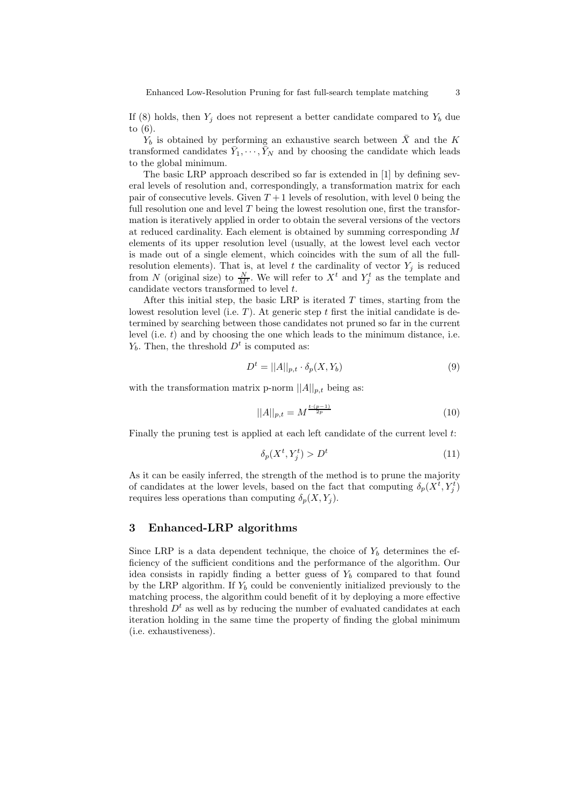Enhanced Low-Resolution Pruning for fast full-search template matching 3

If  $(8)$  holds, then  $Y_j$  does not represent a better candidate compared to  $Y_b$  due to (6).

 $Y_b$  is obtained by performing an exhaustive search between  $\bar{X}$  and the K transformed candidates  $\bar{Y}_1, \dots, \bar{Y}_N$  and by choosing the candidate which leads to the global minimum.

The basic LRP approach described so far is extended in [1] by defining several levels of resolution and, correspondingly, a transformation matrix for each pair of consecutive levels. Given  $T+1$  levels of resolution, with level 0 being the full resolution one and level  $T$  being the lowest resolution one, first the transformation is iteratively applied in order to obtain the several versions of the vectors at reduced cardinality. Each element is obtained by summing corresponding M elements of its upper resolution level (usually, at the lowest level each vector is made out of a single element, which coincides with the sum of all the fullresolution elements). That is, at level  $t$  the cardinality of vector  $Y_j$  is reduced from N (original size) to  $\frac{N}{M^t}$ . We will refer to  $X^t$  and  $Y_j^t$  as the template and candidate vectors transformed to level t.

After this initial step, the basic LRP is iterated  $T$  times, starting from the lowest resolution level (i.e.  $T$ ). At generic step t first the initial candidate is determined by searching between those candidates not pruned so far in the current level (i.e.  $t$ ) and by choosing the one which leads to the minimum distance, i.e.  $Y_b$ . Then, the threshold  $D<sup>t</sup>$  is computed as:

$$
D^t = ||A||_{p,t} \cdot \delta_p(X, Y_b)
$$
\n<sup>(9)</sup>

with the transformation matrix p-norm  $||A||_{p,t}$  being as:

$$
||A||_{p,t} = M^{\frac{t \cdot (p-1)}{2p}} \tag{10}
$$

Finally the pruning test is applied at each left candidate of the current level t:

$$
\delta_p(X^t, Y^t_j) > D^t \tag{11}
$$

As it can be easily inferred, the strength of the method is to prune the majority of candidates at the lower levels, based on the fact that computing  $\delta_p(X^t, Y^t_j)$ requires less operations than computing  $\delta_p(X, Y_i)$ .

## **3 Enhanced-LRP algorithms**

Since LRP is a data dependent technique, the choice of  $Y_b$  determines the efficiency of the sufficient conditions and the performance of the algorithm. Our idea consists in rapidly finding a better guess of  $Y<sub>b</sub>$  compared to that found by the LRP algorithm. If  $Y_b$  could be conveniently initialized previously to the matching process, the algorithm could benefit of it by deploying a more effective threshold  $D<sup>t</sup>$  as well as by reducing the number of evaluated candidates at each iteration holding in the same time the property of finding the global minimum (i.e. exhaustiveness).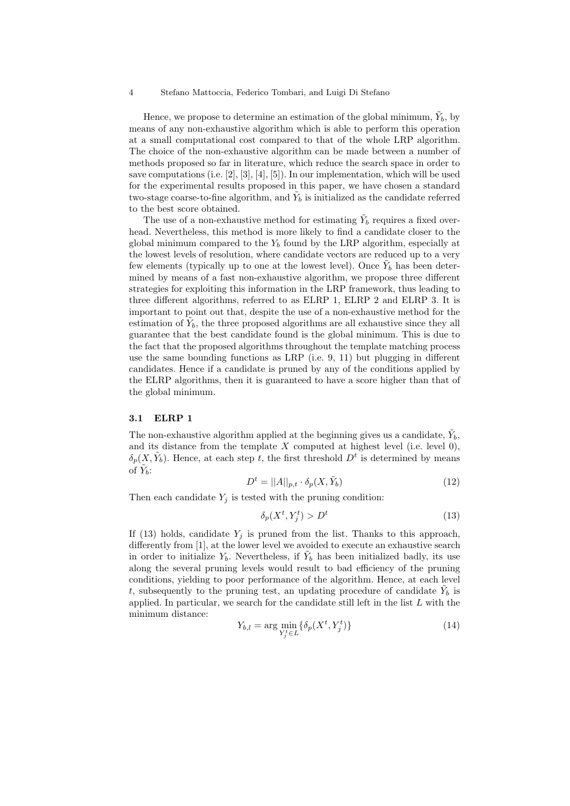4 Stefano Mattoccia, Federico Tombari, and Luigi Di Stefano

Hence, we propose to determine an estimation of the global minimum,  $\tilde{Y}_b$ , by means of any non-exhaustive algorithm which is able to perform this operation at a small computational cost compared to that of the whole LRP algorithm. The choice of the non-exhaustive algorithm can be made between a number of methods proposed so far in literature, which reduce the search space in order to save computations (i.e. [2], [3], [4], [5]). In our implementation, which will be used for the experimental results proposed in this paper, we have chosen a standard two-stage coarse-to-fine algorithm, and  $\tilde{Y}_b$  is initialized as the candidate referred to the best score obtained.

The use of a non-exhaustive method for estimating  $\tilde{Y}_b$  requires a fixed overhead. Nevertheless, this method is more likely to find a candidate closer to the global minimum compared to the  $Y_b$  found by the LRP algorithm, especially at the lowest levels of resolution, where candidate vectors are reduced up to a very few elements (typically up to one at the lowest level). Once  $\tilde{Y}_b$  has been determined by means of a fast non-exhaustive algorithm, we propose three different strategies for exploiting this information in the LRP framework, thus leading to three different algorithms, referred to as ELRP 1, ELRP 2 and ELRP 3. It is important to point out that, despite the use of a non-exhaustive method for the estimation of  $\tilde{Y}_b$ , the three proposed algorithms are all exhaustive since they all guarantee that the best candidate found is the global minimum. This is due to the fact that the proposed algorithms throughout the template matching process use the same bounding functions as LRP (i.e.  $9, 11$ ) but plugging in different candidates. Hence if a candidate is pruned by any of the conditions applied by the ELRP algorithms, then it is guaranteed to have a score higher than that of the global minimum.

#### **3.1 ELRP 1**

The non-exhaustive algorithm applied at the beginning gives us a candidate,  $Y<sub>b</sub>$ , and its distance from the template  $X$  computed at highest level (i.e. level 0),  $\delta_p(X, \tilde{Y}_b)$ . Hence, at each step t, the first threshold  $D^t$  is determined by means of  $Y_b$ :

$$
D^t = ||A||_{p,t} \cdot \delta_p(X, \tilde{Y}_b)
$$
\n(12)

Then each candidate  $Y_j$  is tested with the pruning condition:

$$
\delta_p(X^t, Y^t_j) > D^t \tag{13}
$$

If  $(13)$  holds, candidate  $Y_i$  is pruned from the list. Thanks to this approach, differently from [1], at the lower level we avoided to execute an exhaustive search in order to initialize  $Y_b$ . Nevertheless, if  $\tilde{Y}_b$  has been initialized badly, its use along the several pruning levels would result to bad efficiency of the pruning conditions, yielding to poor performance of the algorithm. Hence, at each level t, subsequently to the pruning test, an updating procedure of candidate  $\tilde{Y}_b$  is applied. In particular, we search for the candidate still left in the list  $L$  with the minimum distance:

$$
Y_{b,l} = \arg\min_{Y_j^t \in L} \{ \delta_p(X^t, Y_j^t) \} \tag{14}
$$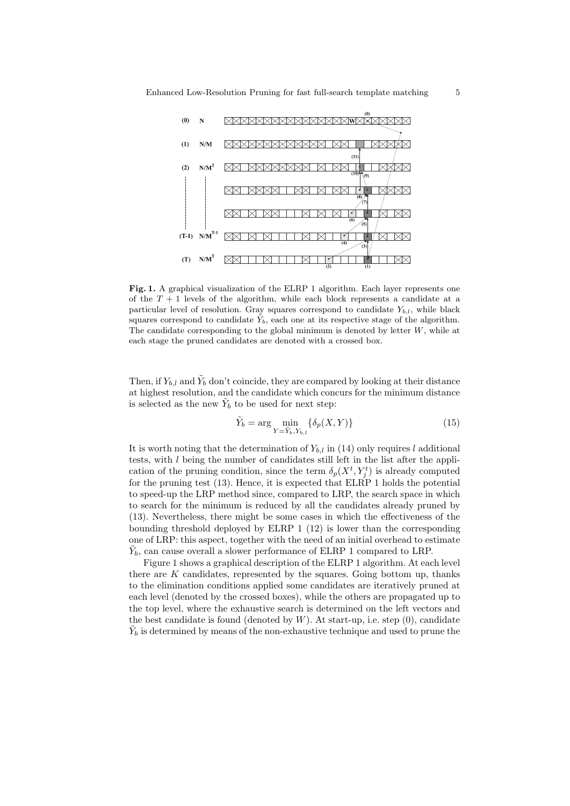

Fig. 1. A graphical visualization of the ELRP 1 algorithm. Each layer represents one of the  $T+1$  levels of the algorithm, while each block represents a candidate at a particular level of resolution. Gray squares correspond to candidate *Yb,l*, while black squares correspond to candidate  $\tilde{Y}_b$ , each one at its respective stage of the algorithm. The candidate corresponding to the global minimum is denoted by letter *W*, while at each stage the pruned candidates are denoted with a crossed box.

Then, if  $Y_{b,l}$  and  $\tilde{Y}_b$  don't coincide, they are compared by looking at their distance at highest resolution, and the candidate which concurs for the minimum distance is selected as the new  $\tilde{Y}_b$  to be used for next step:

$$
\tilde{Y}_b = \arg\min_{Y = \tilde{Y}_b, Y_{b,l}} \{\delta_p(X, Y)\}\tag{15}
$$

It is worth noting that the determination of  $Y_{b,l}$  in (14) only requires l additional tests, with l being the number of candidates still left in the list after the application of the pruning condition, since the term  $\delta_p(X^t, Y^t_j)$  is already computed for the pruning test  $(13)$ . Hence, it is expected that  $ELR\dot{P}$  1 holds the potential to speed-up the LRP method since, compared to LRP, the search space in which to search for the minimum is reduced by all the candidates already pruned by (13). Nevertheless, there might be some cases in which the effectiveness of the bounding threshold deployed by ELRP 1 (12) is lower than the corresponding one of LRP: this aspect, together with the need of an initial overhead to estimate  $\tilde{Y}_b$ , can cause overall a slower performance of ELRP 1 compared to LRP.

Figure 1 shows a graphical description of the ELRP 1 algorithm. At each level there are  $K$  candidates, represented by the squares. Going bottom up, thanks to the elimination conditions applied some candidates are iteratively pruned at each level (denoted by the crossed boxes), while the others are propagated up to the top level, where the exhaustive search is determined on the left vectors and the best candidate is found (denoted by  $W$ ). At start-up, i.e. step  $(0)$ , candidate  $\hat{Y}_b$  is determined by means of the non-exhaustive technique and used to prune the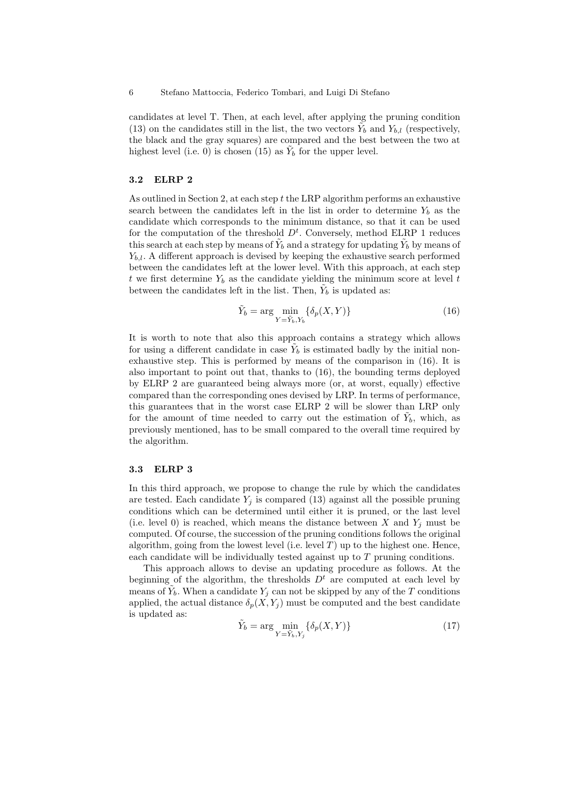candidates at level T. Then, at each level, after applying the pruning condition (13) on the candidates still in the list, the two vectors  $\tilde{Y}_b$  and  $Y_{b,l}$  (respectively, the black and the gray squares) are compared and the best between the two at highest level (i.e. 0) is chosen (15) as  $\tilde{Y}_b$  for the upper level.

#### **3.2 ELRP 2**

As outlined in Section 2, at each step t the LRP algorithm performs an exhaustive search between the candidates left in the list in order to determine  $Y_b$  as the candidate which corresponds to the minimum distance, so that it can be used for the computation of the threshold  $D<sup>t</sup>$ . Conversely, method ELRP 1 reduces this search at each step by means of  $\tilde{Y}_b$  and a strategy for updating  $\tilde{Y}_b$  by means of Y*b,l*. A different approach is devised by keeping the exhaustive search performed between the candidates left at the lower level. With this approach, at each step t we first determine  $Y_b$  as the candidate yielding the minimum score at level t between the candidates left in the list. Then,  $\tilde{Y}_b$  is updated as:

$$
\tilde{Y}_b = \arg\min_{Y = \tilde{Y}_b, Y_b} \{ \delta_p(X, Y) \}
$$
\n(16)

It is worth to note that also this approach contains a strategy which allows for using a different candidate in case  $\tilde{Y}_b$  is estimated badly by the initial nonexhaustive step. This is performed by means of the comparison in (16). It is also important to point out that, thanks to (16), the bounding terms deployed by ELRP 2 are guaranteed being always more (or, at worst, equally) effective compared than the corresponding ones devised by LRP. In terms of performance, this guarantees that in the worst case ELRP 2 will be slower than LRP only for the amount of time needed to carry out the estimation of  $Y_b$ , which, as previously mentioned, has to be small compared to the overall time required by the algorithm.

#### **3.3 ELRP 3**

In this third approach, we propose to change the rule by which the candidates are tested. Each candidate  $Y_j$  is compared (13) against all the possible pruning conditions which can be determined until either it is pruned, or the last level (i.e. level 0) is reached, which means the distance between  $X$  and  $Y_j$  must be computed. Of course, the succession of the pruning conditions follows the original algorithm, going from the lowest level (i.e. level  $T$ ) up to the highest one. Hence, each candidate will be individually tested against up to  $T$  pruning conditions.

This approach allows to devise an updating procedure as follows. At the beginning of the algorithm, the thresholds  $D<sup>t</sup>$  are computed at each level by means of  $\hat{Y}_b$ . When a candidate  $Y_j$  can not be skipped by any of the  $T$  conditions applied, the actual distance  $\delta_p(X, Y_j)$  must be computed and the best candidate is updated as:

$$
\tilde{Y}_b = \arg\min_{Y = \tilde{Y}_b, Y_j} \{ \delta_p(X, Y) \}
$$
\n(17)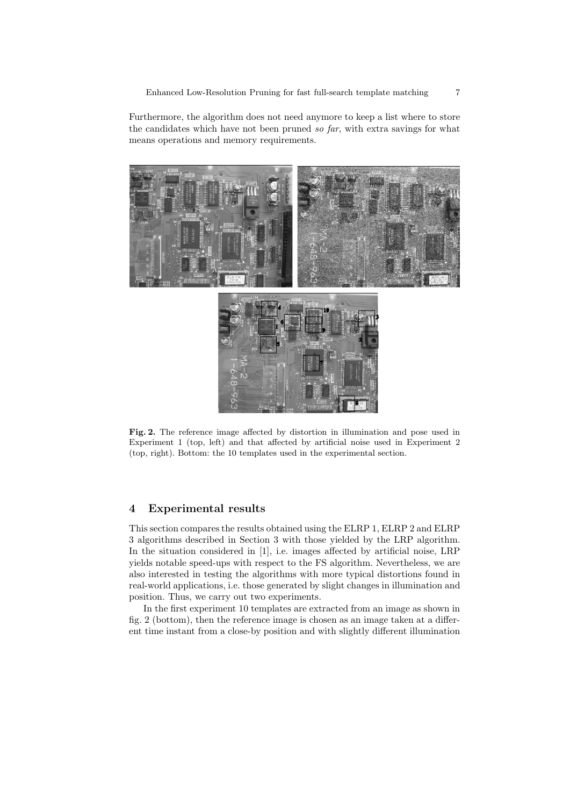Furthermore, the algorithm does not need anymore to keep a list where to store the candidates which have not been pruned *so far*, with extra savings for what means operations and memory requirements.



**Fig. 2.** The reference image affected by distortion in illumination and pose used in Experiment 1 (top, left) and that affected by artificial noise used in Experiment 2 (top, right). Bottom: the 10 templates used in the experimental section.

# **4 Experimental results**

This section compares the results obtained using the ELRP 1, ELRP 2 and ELRP 3 algorithms described in Section 3 with those yielded by the LRP algorithm. In the situation considered in [1], i.e. images affected by artificial noise, LRP yields notable speed-ups with respect to the FS algorithm. Nevertheless, we are also interested in testing the algorithms with more typical distortions found in real-world applications, i.e. those generated by slight changes in illumination and position. Thus, we carry out two experiments.

In the first experiment 10 templates are extracted from an image as shown in fig. 2 (bottom), then the reference image is chosen as an image taken at a different time instant from a close-by position and with slightly different illumination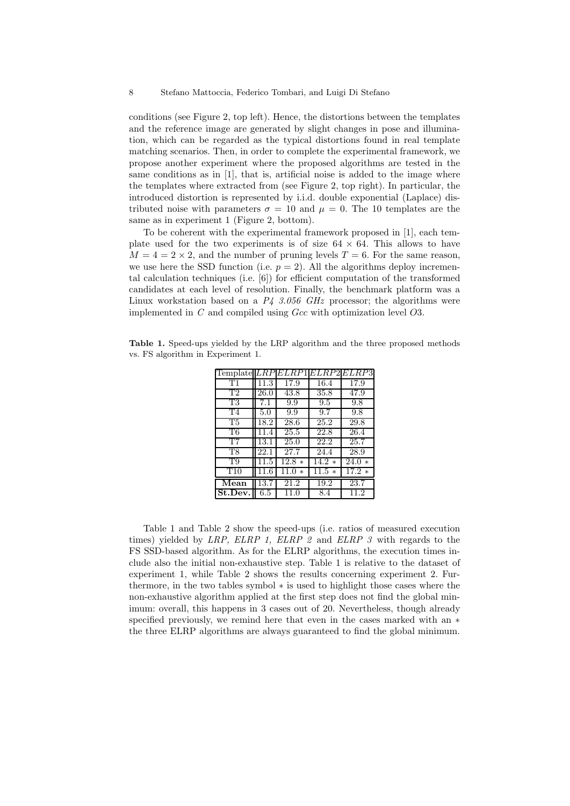conditions (see Figure 2, top left). Hence, the distortions between the templates and the reference image are generated by slight changes in pose and illumination, which can be regarded as the typical distortions found in real template matching scenarios. Then, in order to complete the experimental framework, we propose another experiment where the proposed algorithms are tested in the same conditions as in [1], that is, artificial noise is added to the image where the templates where extracted from (see Figure 2, top right). In particular, the introduced distortion is represented by i.i.d. double exponential (Laplace) distributed noise with parameters  $\sigma = 10$  and  $\mu = 0$ . The 10 templates are the same as in experiment 1 (Figure 2, bottom).

To be coherent with the experimental framework proposed in [1], each template used for the two experiments is of size  $64 \times 64$ . This allows to have  $M = 4 = 2 \times 2$ , and the number of pruning levels  $T = 6$ . For the same reason, we use here the SSD function (i.e.  $p = 2$ ). All the algorithms deploy incremental calculation techniques (i.e. [6]) for efficient computation of the transformed candidates at each level of resolution. Finally, the benchmark platform was a Linux workstation based on a  $P_4$  3.056 GHz processor; the algorithms were implemented in  $C$  and compiled using  $Gcc$  with optimization level  $O3$ .

**Table 1.** Speed-ups yielded by the LRP algorithm and the three proposed methods vs. FS algorithm in Experiment 1.

| Template       | $_{LRP}$ | ELRP1          |         | ELRP2 ELRP3    |
|----------------|----------|----------------|---------|----------------|
| T1             | 11.3     | 17.9           | 16.4    | 17.9           |
| T2             | 26.0     | 43.8           | 35.8    | 47.9           |
| Т3             | 7.1      | 9.9            | 9.5     | 9.8            |
| T <sub>4</sub> | 5.0      | 9.9            | 9.7     | 9.8            |
| T5             | 18.2     | 28.6           | 25.2    | 29.8           |
| T6             | 11.4     | 25.5           | 22.8    | 26.4           |
| T7             | 13.1     | 25.0           | 22.2    | 25.7           |
| Т8             | 22.1     | 27.7           | 24.4    | 28.9           |
| T9             | 11.5     | $12.8*$        | $14.2*$ | 24.0<br>$\ast$ |
| T10            | 11.6     | 11.0<br>$\ast$ | $11.5*$ | $17.2*$        |
| Mean           | 13.7     | 21.2           | 19.2    | 23.7           |
| St.Dev.        | $6.5\,$  | 11.0           | 8.4     | 11.2           |
|                |          |                |         |                |

Table 1 and Table 2 show the speed-ups (i.e. ratios of measured execution times) yielded by *LRP, ELRP 1, ELRP 2* and *ELRP 3* with regards to the FS SSD-based algorithm. As for the ELRP algorithms, the execution times include also the initial non-exhaustive step. Table 1 is relative to the dataset of experiment 1, while Table 2 shows the results concerning experiment 2. Furthermore, in the two tables symbol ∗ is used to highlight those cases where the non-exhaustive algorithm applied at the first step does not find the global minimum: overall, this happens in 3 cases out of 20. Nevertheless, though already specified previously, we remind here that even in the cases marked with an  $*$ the three ELRP algorithms are always guaranteed to find the global minimum.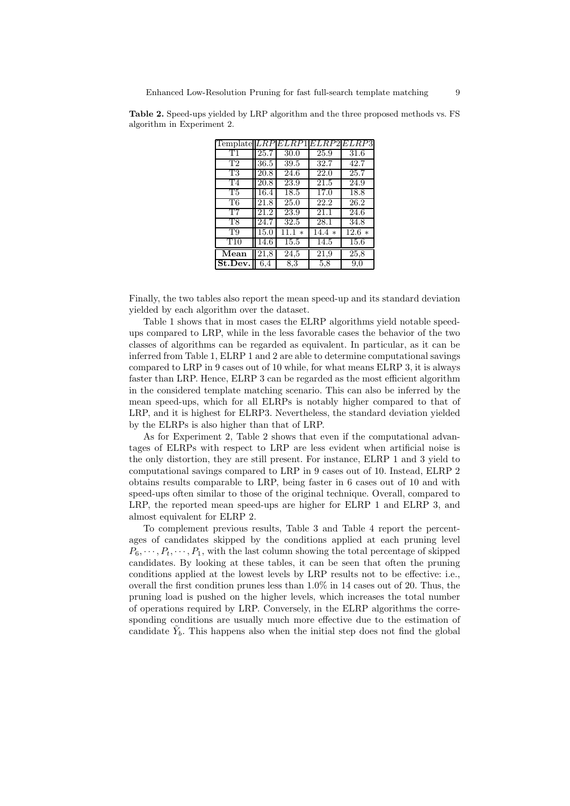| $Template   LRP   ELRP1   ELRP2   ELRP3  $ |                   |        |         |                     |
|--------------------------------------------|-------------------|--------|---------|---------------------|
| Т1                                         | 25.7              | 30.0   | 25.9    | 31.6                |
| T <sub>2</sub>                             | 36.5              | 39.5   | 32.7    | 42.7                |
| T3                                         | 20.8              | 24.6   | 22.0    | 25.7                |
| T4                                         | 20.8              | 23.9   | 21.5    | 24.9                |
| T5                                         | 16.4              | 18.5   | 17.0    | 18.8                |
| T6                                         | 21.8              | 25.0   | 22.2    | 26.2                |
| T7                                         | 21.2              | 23.9   | 21.1    | 24.6                |
| T <sub>8</sub>                             | $\overline{2}4.7$ | 32.5   | 28.1    | 34.8                |
| T9                                         | 15.0              | 11.1 * | $14.4*$ | $\overline{12.6}$ * |
| T10                                        | 14.6              | 15.5   | 14.5    | 15.6                |
| $\overline{\text{Mean}}$                   | 21,8              | 24,5   | 21,9    | 25,8                |
| St.Dev.                                    | 6,4               | 8,3    | 5,8     | 9,0                 |

**Table 2.** Speed-ups yielded by LRP algorithm and the three proposed methods vs. FS algorithm in Experiment 2.

Finally, the two tables also report the mean speed-up and its standard deviation yielded by each algorithm over the dataset.

Table 1 shows that in most cases the ELRP algorithms yield notable speedups compared to LRP, while in the less favorable cases the behavior of the two classes of algorithms can be regarded as equivalent. In particular, as it can be inferred from Table 1, ELRP 1 and 2 are able to determine computational savings compared to LRP in 9 cases out of 10 while, for what means ELRP 3, it is always faster than LRP. Hence, ELRP 3 can be regarded as the most efficient algorithm in the considered template matching scenario. This can also be inferred by the mean speed-ups, which for all ELRPs is notably higher compared to that of LRP, and it is highest for ELRP3. Nevertheless, the standard deviation yielded by the ELRPs is also higher than that of LRP.

As for Experiment 2, Table 2 shows that even if the computational advantages of ELRPs with respect to LRP are less evident when artificial noise is the only distortion, they are still present. For instance, ELRP 1 and 3 yield to computational savings compared to LRP in 9 cases out of 10. Instead, ELRP 2 obtains results comparable to LRP, being faster in 6 cases out of 10 and with speed-ups often similar to those of the original technique. Overall, compared to LRP, the reported mean speed-ups are higher for ELRP 1 and ELRP 3, and almost equivalent for ELRP 2.

To complement previous results, Table 3 and Table 4 report the percentages of candidates skipped by the conditions applied at each pruning level  $P_6, \dots, P_t, \dots, P_1$ , with the last column showing the total percentage of skipped candidates. By looking at these tables, it can be seen that often the pruning conditions applied at the lowest levels by LRP results not to be effective: i.e., overall the first condition prunes less than  $1.0\%$  in 14 cases out of 20. Thus, the pruning load is pushed on the higher levels, which increases the total number of operations required by LRP. Conversely, in the ELRP algorithms the corresponding conditions are usually much more effective due to the estimation of candidate  $Y<sub>b</sub>$ . This happens also when the initial step does not find the global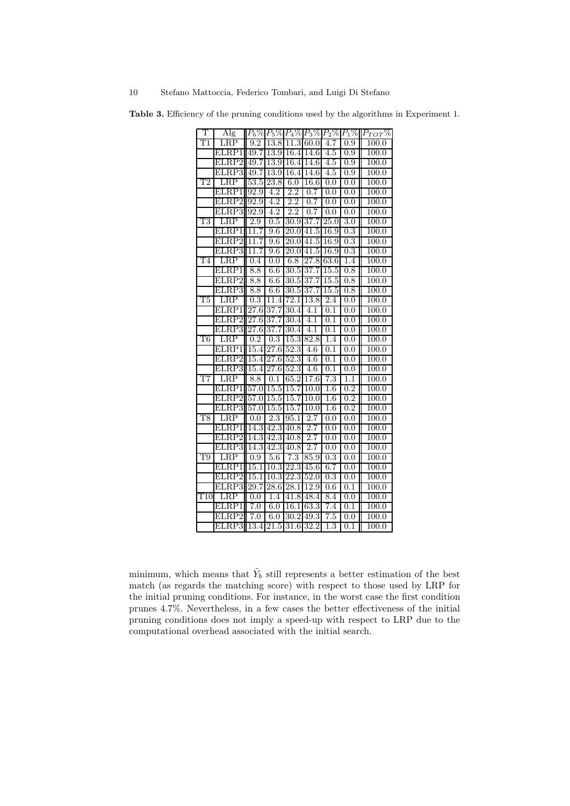**Table 3.** Efficiency of the pruning conditions used by the algorithms in Experiment 1.

| Т             | $\rm{Alg}$     |                   |                   |                          | $P_6\%  P_5\%  P_4\%  P_3\% $ | $P_2\%$                              | $P_1\%$          | $P_{TOT}\%$    |
|---------------|----------------|-------------------|-------------------|--------------------------|-------------------------------|--------------------------------------|------------------|----------------|
|               | $_{\rm LRP}$   | 9.2               | $^{13.8}$         | 11.3                     | 60.0                          | 4.7                                  | 0.9              | $100.0\,$      |
|               | ELRP1          | 49.7              | 13.9              | 16.4                     | 14.6                          | 4.5                                  | 0.9              | 100.0          |
|               | ELRP2          | 49.7              | 13.9              | $\overline{1}6.4$        | 14.6                          | 4.5                                  | 0.9              | $100.0\,$      |
|               | ELRP3          | 49.7              | 13.9              | 16.4                     | 14.6                          | 4.5                                  | 0.9              | 100.0          |
| $\mathrm{T}2$ | $_{\rm LRP}$   | 53.5              | 23.8              | 6.0                      | $16.6\,$                      | 0.0                                  | 0.0              | $100.0\,$      |
|               | ELRP1          | 92.9              | 4.2               | 2.2                      | 0.7                           | 0.0                                  | 0.0              | 100.0          |
|               | ELRP2          | 92.9              | 4.2               | 2.2                      | 0.7                           | 0.0                                  | 0.0              | 100.0          |
|               | ELRP3          | 92.9              | 4.2               | 2.2                      | 0.7                           | 0.0                                  | 0.0              | 100.0          |
| Т3            | LRP            | 2.9               | 0.5               | $\overline{30.9}$        | 37.7                          | 25.0                                 | 3.0              | 100.0          |
|               | ELRP1          | 11.7              | 9.6               | 20.0                     | 41.5                          | 16.9                                 | 0.3              | 100.0          |
|               | ELRP2          | 11<br>.7          | 9.6               | 20.0                     | 41.5                          | $16.9\,$                             | 0.3              | 100.0          |
|               | $\rm ELRP3$    | 11.7              | 9.6               | 20.0                     | 41.5                          | 16.9                                 | 0.3              | 100.0          |
| T4            | $_{\rm LRP}$   | 0.4               | 0.0               | 6.8                      | 27.8                          | 63.6                                 | 1.4              | 100.0          |
|               | ELRP1          | 8.8               | 6.6               | 30.5                     | 37.7                          | 15.5                                 | 0.8              | 100.0          |
|               | ELRP2          | 8.8               | 6.6               | 30.5                     | 37.7                          | 15.5                                 | 0.8              | 100.0          |
|               | ЕI<br>RP3.     | 8.8               | $6.6\,$           | 30.5                     | 37.7                          | 15.5                                 | 0.8              | 100.0          |
| Т5            | $_{\rm LRP}$   | $\overline{0.3}$  | 11.4              | 72.1                     | 13.8                          | 2.4                                  | 0.0              | 100.0          |
|               | ELRP1          | 27.6              | 37.7              | 30.4                     | 4.1                           | 0.1                                  | 0.0              | 100.0          |
|               | ELRP2          | $\overline{27.6}$ | 37.7              | 30.4                     | 4.1                           | 0.1                                  | 0.0              | 100.0          |
|               | ELRP3          | $\overline{2}7.6$ | 37.7              | 30.4                     | 4.1                           | 0.1                                  | 0.0              | 100.0          |
| Т6            | $_{\rm LRP}$   | $0.2\,$           | 0.3               | 15.3                     | 82.8                          | 1.4                                  | 0.0              | 100.0          |
|               | ELRP1          | 15.4              | $\overline{27.6}$ | 52.3                     | 4.6                           | $\overline{0.1}$                     | 0.0              | $100.0\,$      |
|               | ELRP2          | 15.4              | 27.6              | 52.3                     | 4.6                           | 0.1                                  | 0.0              | 100.0          |
|               | ELRP3          | 15.4              | $\overline{27.6}$ | 52.3                     | 4.6                           | 0.1                                  | 0.0              | 100.0          |
| T7            | $_{\rm LRP}$   | 8.8               | 0.1               | 65.2                     | 17.6                          | $\overline{7.3}$                     | 1.1              | 100.0          |
|               | ELRP1          | 57.0              | 15.5              | 15.7                     | 10.0                          | $1.6\,$                              | $0.2\,$          | $100.0\,$      |
|               | ELRP2          | 57.0              | 15.5              | 15.7                     | $\overline{1}0.0$             | $\overline{1.6}$                     | 0.2              | 100.0          |
|               | ELRP3          | 57.0              | 15.5              | 15.7                     | 10.0                          | $1.6\,$                              | $\overline{0.2}$ | 100.0          |
| T8            | $_{\rm LRP}$   | 0.0               | $\overline{2.3}$  | 95.1                     | 2.7                           | 0.0                                  | 0.0              | 100.0          |
|               | ELRP1          | 14.3              | 42.3              | 40.8                     | 2.7                           | 0.0                                  | 0.0              | 100.0          |
|               | ELRP2          | 14.3              | 42.3              | 40.8                     | 2.7                           | 0.0                                  | 0.0              | 100.0          |
|               | ELRP3          | 14.3              | 42.3              | 40.8<br>$\overline{7.3}$ | 2.7                           | $\overline{0.0}$<br>$\overline{0.3}$ | 0.0              | 100.0          |
| T9            | $_{\rm LRP}$   | 0.9<br>15.1       | 5.6<br>10.3       | 22.3                     | 85.9<br>45.6                  | 6.7                                  | 0.0<br>0.0       | 100.0<br>100.0 |
|               | ELRP1<br>ELRP2 | 15.1              | 10.3              | 22.3                     | 52.0                          | $\overline{0.3}$                     | 0.0              | 100.0          |
|               | RP3<br>ЕI      | 29.7              | 28.6              | 28.1                     | 12.9                          | 0.6                                  | 0.1              | $100.0\,$      |
| T10           | $_{\rm LRP}$   | 0.0               | 1.4               | 41.8                     | 48.4                          | 8.4                                  | 0.0              | 100.0          |
|               | ELRP1          | 7.0               | 6.0               | $16.1\,$                 | 63.3                          | 7.4                                  | 0.1              | 100.0          |
|               | $_{\rm ELRP2}$ | 7.0               | 6.0               | 30.2                     | 49.3                          | 7.5                                  | 0.0              | 100.0          |
|               | ELRP3          | 13.4              | $21.5\,$          | 31.6                     | 32.2                          | $\overline{1.3}$                     | $0.1\,$          | 100.0          |
|               |                |                   |                   |                          |                               |                                      |                  |                |

minimum, which means that  $\tilde{Y}_b$  still represents a better estimation of the best match (as regards the matching score) with respect to those used by LRP for the initial pruning conditions. For instance, in the worst case the first condition prunes 4.7%. Nevertheless, in a few cases the better effectiveness of the initial pruning conditions does not imply a speed-up with respect to LRP due to the computational overhead associated with the initial search.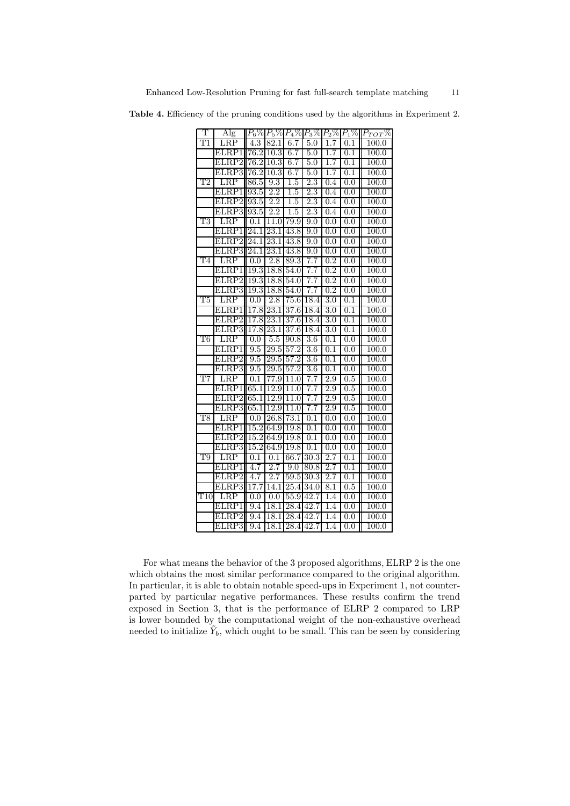**Table 4.** Efficiency of the pruning conditions used by the algorithms in Experiment 2.

| T                         | Alg                |                   |                   | $P_6\%P_5\%P_4\%P_3\%P_2\%P_1\%$ |                  |                  |                  | $P_{TOT}\%$        |
|---------------------------|--------------------|-------------------|-------------------|----------------------------------|------------------|------------------|------------------|--------------------|
| $\overline{\rm T1}$       | $_{\rm LRP}$       | 4.3               | 82.1              | 6.7                              | 5.0              | 1.7              | $0.1\,$          | 100.0              |
|                           | ELRP1              | 76.2              | 10.3              | 6.7                              | 5.0              | 1.7              | 0.1              | 100.0              |
|                           | ELRP2              | 76.2              | 10.3              | 6.7                              | 5.0              | 1.7              | $\overline{0.1}$ | 100.0              |
|                           | ELRP3              | 76.2              | 10.3              | 6.7                              | 5.0              | $1.7\,$          | $0.1\,$          | 100.0              |
| T2                        | $\overline{RP}$    | $86.5\,$          | 9.3               | $1.5\,$                          | $2.3\,$          | 0.4              | 0.0              | 100.0              |
|                           | ELRP1              | 93.5              | $\overline{2.2}$  | $1.5\,$                          | $\overline{2.3}$ | 0.4              | 0.0              | 100.0              |
|                           | ELRP2              | 93.5              | 2.2               | 1.5                              | 2.3              | 0.4              | 0.0              | 100.0              |
|                           | ELRP3              | 93.5              | $\overline{2.2}$  | 1.5                              | $\overline{2.3}$ | 0.4              | 0.0              | 100.0              |
| T3                        | $_{\rm LRP}$       | 0.1               | 11.0              | 79.9                             | 9.0              | 0.0              | 0.0              | 100.0              |
|                           | ELRP1              | 24.1              | 23.1              | 43.8                             | 9.0              | 0.0              | 0.0              | 100.0              |
|                           | ELRP2              | $\overline{24.1}$ | $\overline{23.1}$ | 43.8                             | 9.0              | 0.0              | 0.0              | 100.0              |
|                           | ELRP3              | 24.1              | 23.1              | 43.8                             | 9.0              | 0.0              | 0.0              | 100.0              |
| T4                        | $_{\rm LRP}$       | $\overline{0.0}$  | 2.8               | 89.3                             | $\overline{7.7}$ | 0.2              | 0.0              | 100.0              |
|                           | ELRP1              | 19.3              | 18.8              | 54.0                             | 7.7              | $\overline{0.2}$ | 0.0              | 100.0              |
|                           | ELRP2              | 19.3              | 18.8              | 54.0                             | 7.7              | 0.2              | 0.0              | 100.0              |
|                           | ELRP3              | 19.3              | 18.8              | 54.0                             | $\overline{7}.7$ | $\overline{0.2}$ | 0.0              | 100.0              |
| T5                        | LRP                | 0.0               | $\overline{2.8}$  | 75.6                             | 18.4             | $\overline{3.0}$ | $0.1\,$          | 100.0              |
|                           | $\rm ELRP1$        | 17.8              | 23.1              | 37.6                             | 18.4             | $3.0\,$          | 0.1              | 100.0              |
|                           | ELRP2              | 17.8              | 23.1              | 37.6                             | 18.4             | 3.0              | $\overline{0}.1$ | 100.0              |
|                           | LRP3<br>ЕI         | 17.8              | 23.1              | 37.6                             | 18.4             | 3.0              | $0.1\,$          | 100.0              |
| Т6                        | LRP                | 0.0               | $\overline{5.5}$  | 90.8                             | $3.6\,$          | $\overline{0.1}$ | 0.0              | 100.0              |
|                           | ELRP1              | 9.5               | 29.5              | 57.2                             | 3.6              | 0.1              | 0.0              | 100.0              |
|                           | ELRP2              | 9.5               | $\overline{29.5}$ | 57.2                             | $\overline{3.6}$ | 0.1              | 0.0              | 100.0              |
|                           | ELRP3              | 9.5               | 29.5              | 57.2                             | $3.6\,$          | $\overline{0.1}$ | 0.0              | 100.0              |
| T7                        | LRP                | $0.1\,$           | 77.9              | 11.0                             | 7.7              | 2.9              | 0.5              | 100.0              |
|                           | ELRP1              | 65.1              | 12.9              | 11.0                             | 7.7              | 2.9              | 0.5              | 100.0              |
|                           | $_{\rm ELRP2}$     | 65.1              | 12.9              | 11.0                             | 7.7              | $\overline{2.9}$ | 0.5              | 100.0              |
|                           | ELRP3              | 65.1              | 12.9              | 11.0                             | 7.7              | $\overline{2.9}$ | 0.5              | 100.0              |
| $_{\rm T8}$               | $_{\rm LRP}$       | 0.0               | 26.8              | 73.1                             | 0.1              | 0.0              | 0.0              | 100.0              |
|                           | ELRP1              | 15.2              | 64.9              | 19.8                             | $0.1\,$          | 0.0              | 0.0              | $\overline{100.0}$ |
|                           | $_{\rm RP2}$<br>ЕI | $15.\overline{2}$ | 64.9              | 19.8                             | 0.1              | 0.0              | 0.0              | 100.0              |
|                           | ELRP3              | 15.2              | 64.9              | 19.8                             | $\overline{0.1}$ | 0.0              | $\overline{0.0}$ | 100.0              |
| Т9                        | $_{\rm LRP}$       | $0.1\,$           | 0.1               | 66.7                             | 30.3             | 2.7              | $0.1\,$          | 100.0              |
|                           | ELRP1              | 4.7               | 2.7               | 9.0                              | 80.8             | $2.7\,$          | 0.1              | 100.0              |
|                           | ELRP2              | 4.7               | $\overline{2.7}$  | 59.5                             | 30.3             | 2.7              | 0.1              | 100.0              |
|                           | RP3.<br>E.         | 17.7              | 14.1              | 25.4                             | 34.0             | 8.1              | 0.5              | 100.0              |
| $\overline{\mathrm{T}}10$ | LRP                | 0.0               | $\overline{0.0}$  | 55.9                             | 42.7             | $\overline{1.4}$ | 0.0              | 100.0              |
|                           | ELRP1              | 9.4               | 18.1              | 28.4                             | 42.7             | 1.4              | 0.0              | 100.0              |
|                           | ЕI<br>RP2.         | $\overline{9.4}$  | 18.1              | 28.4                             | 42.7             | $\overline{1.4}$ | 0.0              | 100.0              |
|                           | ELRP3              | 9.4               | 18.1              | 28.4                             | 42.7             | 1.4              | $\overline{0.0}$ | 100.0              |

For what means the behavior of the 3 proposed algorithms, ELRP 2 is the one which obtains the most similar performance compared to the original algorithm. In particular, it is able to obtain notable speed-ups in Experiment 1, not counterparted by particular negative performances. These results confirm the trend exposed in Section 3, that is the performance of ELRP 2 compared to LRP is lower bounded by the computational weight of the non-exhaustive overhead needed to initialize  $Y_b$ , which ought to be small. This can be seen by considering